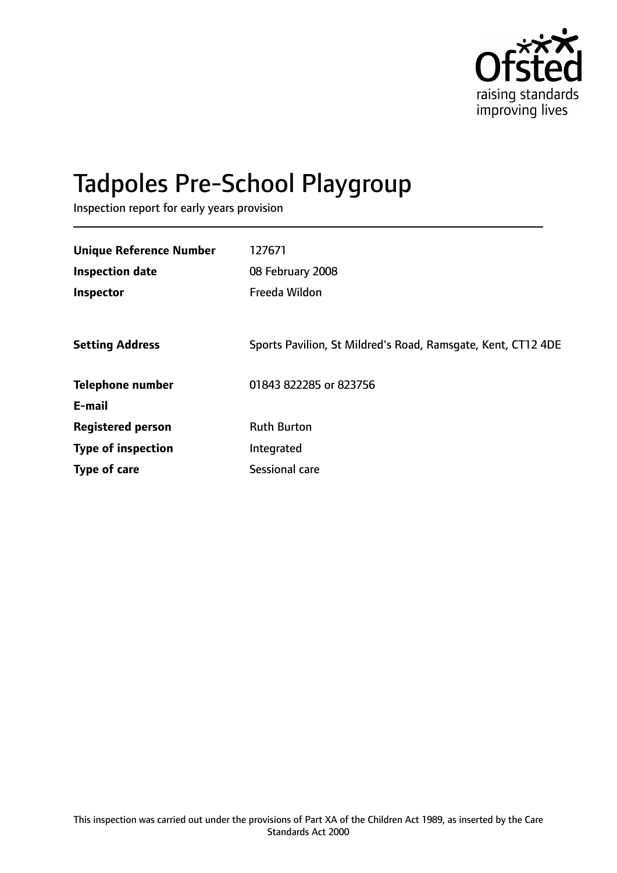

# Tadpoles Pre-School Playgroup

Inspection report for early years provision

| <b>Unique Reference Number</b> | 127671                                                       |
|--------------------------------|--------------------------------------------------------------|
| <b>Inspection date</b>         | 08 February 2008                                             |
| Inspector                      | Freeda Wildon                                                |
|                                |                                                              |
| <b>Setting Address</b>         | Sports Pavilion, St Mildred's Road, Ramsgate, Kent, CT12 4DE |
| <b>Telephone number</b>        | 01843 822285 or 823756                                       |
| E-mail                         |                                                              |
| <b>Registered person</b>       | <b>Ruth Burton</b>                                           |
| <b>Type of inspection</b>      | Integrated                                                   |
| Type of care                   | Sessional care                                               |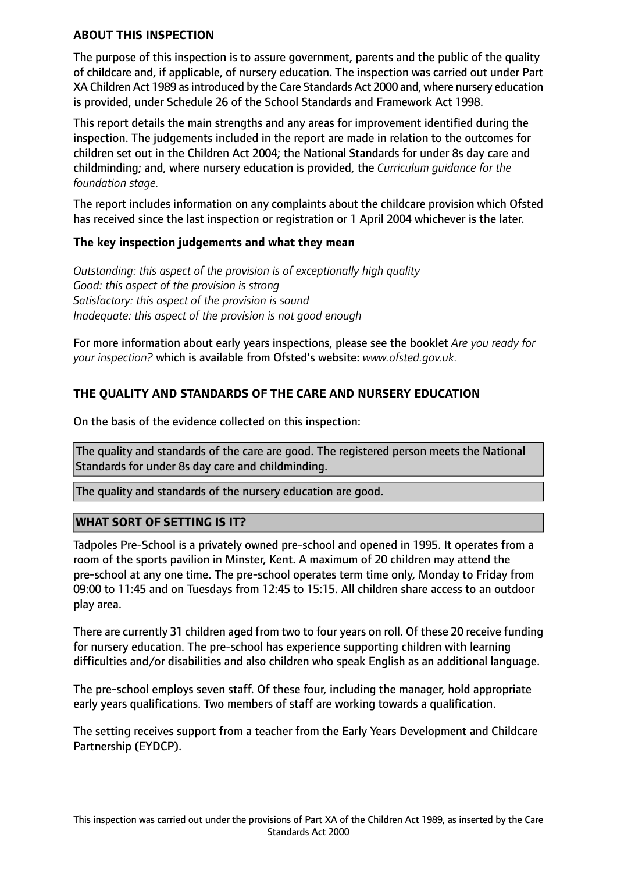#### **ABOUT THIS INSPECTION**

The purpose of this inspection is to assure government, parents and the public of the quality of childcare and, if applicable, of nursery education. The inspection was carried out under Part XA Children Act 1989 as introduced by the Care Standards Act 2000 and, where nursery education is provided, under Schedule 26 of the School Standards and Framework Act 1998.

This report details the main strengths and any areas for improvement identified during the inspection. The judgements included in the report are made in relation to the outcomes for children set out in the Children Act 2004; the National Standards for under 8s day care and childminding; and, where nursery education is provided, the *Curriculum guidance for the foundation stage.*

The report includes information on any complaints about the childcare provision which Ofsted has received since the last inspection or registration or 1 April 2004 whichever is the later.

#### **The key inspection judgements and what they mean**

*Outstanding: this aspect of the provision is of exceptionally high quality Good: this aspect of the provision is strong Satisfactory: this aspect of the provision is sound Inadequate: this aspect of the provision is not good enough*

For more information about early years inspections, please see the booklet *Are you ready for your inspection?* which is available from Ofsted's website: *www.ofsted.gov.uk.*

# **THE QUALITY AND STANDARDS OF THE CARE AND NURSERY EDUCATION**

On the basis of the evidence collected on this inspection:

The quality and standards of the care are good. The registered person meets the National Standards for under 8s day care and childminding.

The quality and standards of the nursery education are good.

#### **WHAT SORT OF SETTING IS IT?**

Tadpoles Pre-School is a privately owned pre-school and opened in 1995. It operates from a room of the sports pavilion in Minster, Kent. A maximum of 20 children may attend the pre-school at any one time. The pre-school operates term time only, Monday to Friday from 09:00 to 11:45 and on Tuesdays from 12:45 to 15:15. All children share access to an outdoor play area.

There are currently 31 children aged from two to four years on roll. Of these 20 receive funding for nursery education. The pre-school has experience supporting children with learning difficulties and/or disabilities and also children who speak English as an additional language.

The pre-school employs seven staff. Of these four, including the manager, hold appropriate early years qualifications. Two members of staff are working towards a qualification.

The setting receives support from a teacher from the Early Years Development and Childcare Partnership (EYDCP).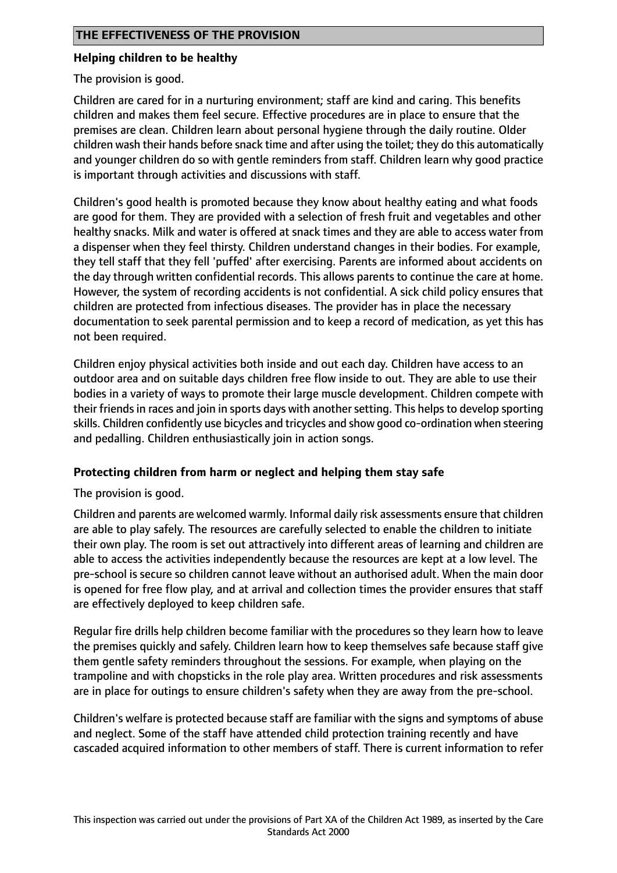#### **Helping children to be healthy**

The provision is good.

Children are cared for in a nurturing environment; staff are kind and caring. This benefits children and makes them feel secure. Effective procedures are in place to ensure that the premises are clean. Children learn about personal hygiene through the daily routine. Older children wash their hands before snack time and after using the toilet; they do this automatically and younger children do so with gentle reminders from staff. Children learn why good practice is important through activities and discussions with staff.

Children's good health is promoted because they know about healthy eating and what foods are good for them. They are provided with a selection of fresh fruit and vegetables and other healthy snacks. Milk and water is offered at snack times and they are able to access water from a dispenser when they feel thirsty. Children understand changes in their bodies. For example, they tell staff that they fell 'puffed' after exercising. Parents are informed about accidents on the day through written confidential records. This allows parents to continue the care at home. However, the system of recording accidents is not confidential. A sick child policy ensures that children are protected from infectious diseases. The provider has in place the necessary documentation to seek parental permission and to keep a record of medication, as yet this has not been required.

Children enjoy physical activities both inside and out each day. Children have access to an outdoor area and on suitable days children free flow inside to out. They are able to use their bodies in a variety of ways to promote their large muscle development. Children compete with their friends in races and join in sports days with another setting. This helps to develop sporting skills. Children confidently use bicycles and tricycles and show good co-ordination when steering and pedalling. Children enthusiastically join in action songs.

#### **Protecting children from harm or neglect and helping them stay safe**

The provision is good.

Children and parents are welcomed warmly. Informal daily risk assessments ensure that children are able to play safely. The resources are carefully selected to enable the children to initiate their own play. The room is set out attractively into different areas of learning and children are able to access the activities independently because the resources are kept at a low level. The pre-school is secure so children cannot leave without an authorised adult. When the main door is opened for free flow play, and at arrival and collection times the provider ensures that staff are effectively deployed to keep children safe.

Regular fire drills help children become familiar with the procedures so they learn how to leave the premises quickly and safely. Children learn how to keep themselves safe because staff give them gentle safety reminders throughout the sessions. For example, when playing on the trampoline and with chopsticks in the role play area. Written procedures and risk assessments are in place for outings to ensure children's safety when they are away from the pre-school.

Children's welfare is protected because staff are familiar with the signs and symptoms of abuse and neglect. Some of the staff have attended child protection training recently and have cascaded acquired information to other members of staff. There is current information to refer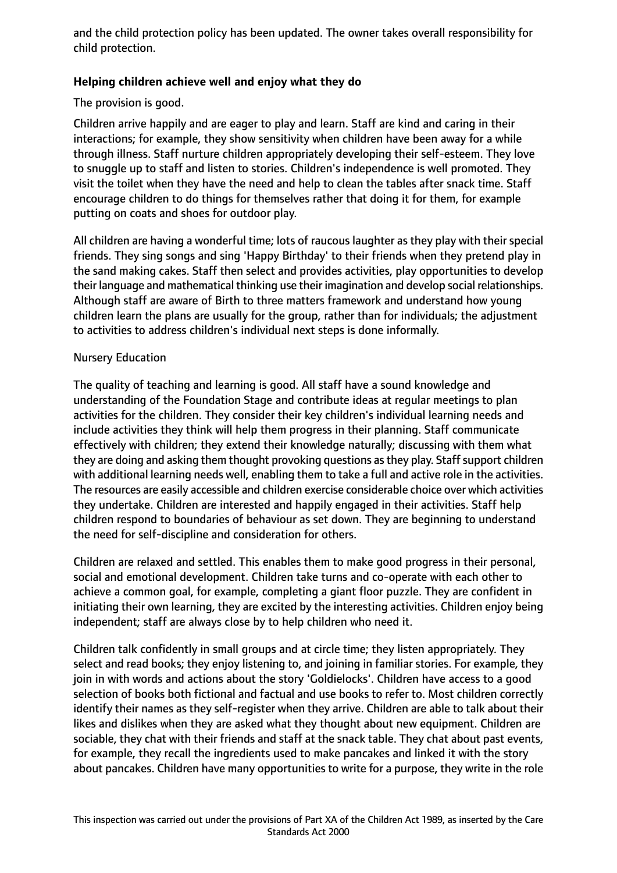and the child protection policy has been updated. The owner takes overall responsibility for child protection.

# **Helping children achieve well and enjoy what they do**

The provision is good.

Children arrive happily and are eager to play and learn. Staff are kind and caring in their interactions; for example, they show sensitivity when children have been away for a while through illness. Staff nurture children appropriately developing their self-esteem. They love to snuggle up to staff and listen to stories. Children's independence is well promoted. They visit the toilet when they have the need and help to clean the tables after snack time. Staff encourage children to do things for themselves rather that doing it for them, for example putting on coats and shoes for outdoor play.

All children are having a wonderful time; lots of raucous laughter as they play with their special friends. They sing songs and sing 'Happy Birthday' to their friends when they pretend play in the sand making cakes. Staff then select and provides activities, play opportunities to develop their language and mathematical thinking use their imagination and develop social relationships. Although staff are aware of Birth to three matters framework and understand how young children learn the plans are usually for the group, rather than for individuals; the adjustment to activities to address children's individual next steps is done informally.

#### Nursery Education

The quality of teaching and learning is good. All staff have a sound knowledge and understanding of the Foundation Stage and contribute ideas at regular meetings to plan activities for the children. They consider their key children's individual learning needs and include activities they think will help them progress in their planning. Staff communicate effectively with children; they extend their knowledge naturally; discussing with them what they are doing and asking them thought provoking questions as they play. Staff support children with additional learning needs well, enabling them to take a full and active role in the activities. The resources are easily accessible and children exercise considerable choice over which activities they undertake. Children are interested and happily engaged in their activities. Staff help children respond to boundaries of behaviour as set down. They are beginning to understand the need for self-discipline and consideration for others.

Children are relaxed and settled. This enables them to make good progress in their personal, social and emotional development. Children take turns and co-operate with each other to achieve a common goal, for example, completing a giant floor puzzle. They are confident in initiating their own learning, they are excited by the interesting activities. Children enjoy being independent; staff are always close by to help children who need it.

Children talk confidently in small groups and at circle time; they listen appropriately. They select and read books; they enjoy listening to, and joining in familiar stories. For example, they join in with words and actions about the story 'Goldielocks'. Children have access to a good selection of books both fictional and factual and use books to refer to. Most children correctly identify their names as they self-register when they arrive. Children are able to talk about their likes and dislikes when they are asked what they thought about new equipment. Children are sociable, they chat with their friends and staff at the snack table. They chat about past events, for example, they recall the ingredients used to make pancakes and linked it with the story about pancakes. Children have many opportunities to write for a purpose, they write in the role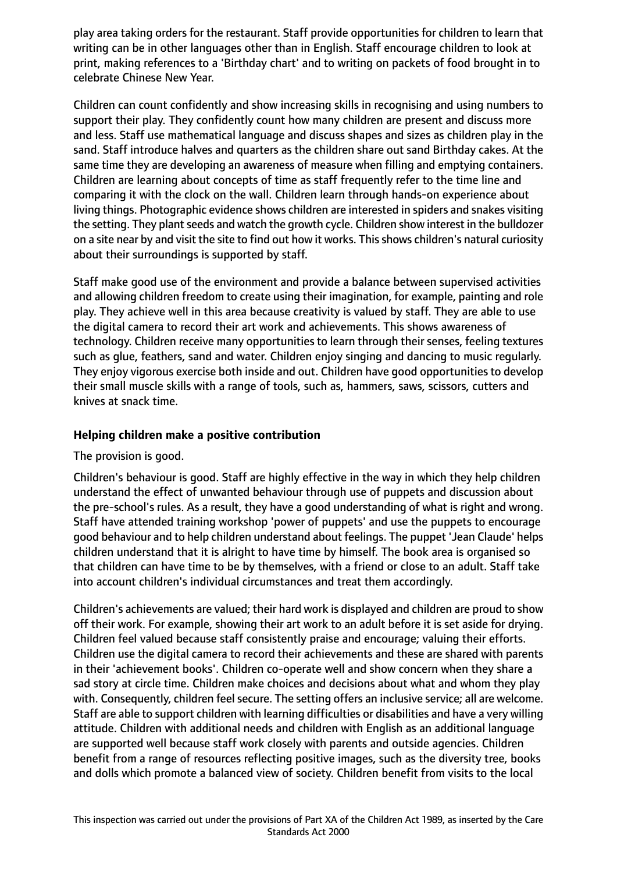play area taking orders for the restaurant. Staff provide opportunities for children to learn that writing can be in other languages other than in English. Staff encourage children to look at print, making references to a 'Birthday chart' and to writing on packets of food brought in to celebrate Chinese New Year.

Children can count confidently and show increasing skills in recognising and using numbers to support their play. They confidently count how many children are present and discuss more and less. Staff use mathematical language and discuss shapes and sizes as children play in the sand. Staff introduce halves and quarters as the children share out sand Birthday cakes. At the same time they are developing an awareness of measure when filling and emptying containers. Children are learning about concepts of time as staff frequently refer to the time line and comparing it with the clock on the wall. Children learn through hands-on experience about living things. Photographic evidence shows children are interested in spiders and snakes visiting the setting. They plant seeds and watch the growth cycle. Children show interest in the bulldozer on a site near by and visit the site to find out how it works. This shows children's natural curiosity about their surroundings is supported by staff.

Staff make good use of the environment and provide a balance between supervised activities and allowing children freedom to create using their imagination, for example, painting and role play. They achieve well in this area because creativity is valued by staff. They are able to use the digital camera to record their art work and achievements. This shows awareness of technology. Children receive many opportunities to learn through their senses, feeling textures such as glue, feathers, sand and water. Children enjoy singing and dancing to music regularly. They enjoy vigorous exercise both inside and out. Children have good opportunities to develop their small muscle skills with a range of tools, such as, hammers, saws, scissors, cutters and knives at snack time.

#### **Helping children make a positive contribution**

# The provision is good.

Children's behaviour is good. Staff are highly effective in the way in which they help children understand the effect of unwanted behaviour through use of puppets and discussion about the pre-school's rules. As a result, they have a good understanding of what is right and wrong. Staff have attended training workshop 'power of puppets' and use the puppets to encourage good behaviour and to help children understand about feelings. The puppet 'Jean Claude' helps children understand that it is alright to have time by himself. The book area is organised so that children can have time to be by themselves, with a friend or close to an adult. Staff take into account children's individual circumstances and treat them accordingly.

Children's achievements are valued; their hard work is displayed and children are proud to show off their work. For example, showing their art work to an adult before it is set aside for drying. Children feel valued because staff consistently praise and encourage; valuing their efforts. Children use the digital camera to record their achievements and these are shared with parents in their 'achievement books'. Children co-operate well and show concern when they share a sad story at circle time. Children make choices and decisions about what and whom they play with. Consequently, children feel secure. The setting offers an inclusive service; all are welcome. Staff are able to support children with learning difficulties or disabilities and have a very willing attitude. Children with additional needs and children with English as an additional language are supported well because staff work closely with parents and outside agencies. Children benefit from a range of resources reflecting positive images, such as the diversity tree, books and dolls which promote a balanced view of society. Children benefit from visits to the local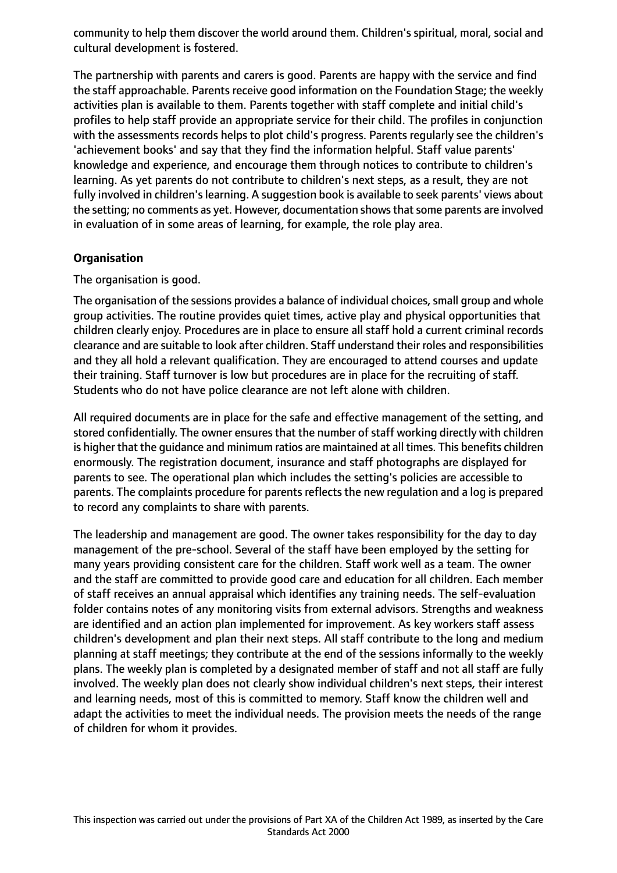community to help them discover the world around them. Children's spiritual, moral, social and cultural development is fostered.

The partnership with parents and carers is good. Parents are happy with the service and find the staff approachable. Parents receive good information on the Foundation Stage; the weekly activities plan is available to them. Parents together with staff complete and initial child's profiles to help staff provide an appropriate service for their child. The profiles in conjunction with the assessments records helps to plot child's progress. Parents regularly see the children's 'achievement books' and say that they find the information helpful. Staff value parents' knowledge and experience, and encourage them through notices to contribute to children's learning. As yet parents do not contribute to children's next steps, as a result, they are not fully involved in children's learning. A suggestion book is available to seek parents' views about the setting; no comments as yet. However, documentation shows that some parents are involved in evaluation of in some areas of learning, for example, the role play area.

#### **Organisation**

The organisation is good.

The organisation of the sessions provides a balance of individual choices, small group and whole group activities. The routine provides quiet times, active play and physical opportunities that children clearly enjoy. Procedures are in place to ensure all staff hold a current criminal records clearance and are suitable to look after children. Staff understand their roles and responsibilities and they all hold a relevant qualification. They are encouraged to attend courses and update their training. Staff turnover is low but procedures are in place for the recruiting of staff. Students who do not have police clearance are not left alone with children.

All required documents are in place for the safe and effective management of the setting, and stored confidentially. The owner ensures that the number of staff working directly with children is higher that the guidance and minimum ratios are maintained at all times. This benefits children enormously. The registration document, insurance and staff photographs are displayed for parents to see. The operational plan which includes the setting's policies are accessible to parents. The complaints procedure for parents reflects the new regulation and a log is prepared to record any complaints to share with parents.

The leadership and management are good. The owner takes responsibility for the day to day management of the pre-school. Several of the staff have been employed by the setting for many years providing consistent care for the children. Staff work well as a team. The owner and the staff are committed to provide good care and education for all children. Each member of staff receives an annual appraisal which identifies any training needs. The self-evaluation folder contains notes of any monitoring visits from external advisors. Strengths and weakness are identified and an action plan implemented for improvement. As key workers staff assess children's development and plan their next steps. All staff contribute to the long and medium planning at staff meetings; they contribute at the end of the sessions informally to the weekly plans. The weekly plan is completed by a designated member of staff and not all staff are fully involved. The weekly plan does not clearly show individual children's next steps, their interest and learning needs, most of this is committed to memory. Staff know the children well and adapt the activities to meet the individual needs. The provision meets the needs of the range of children for whom it provides.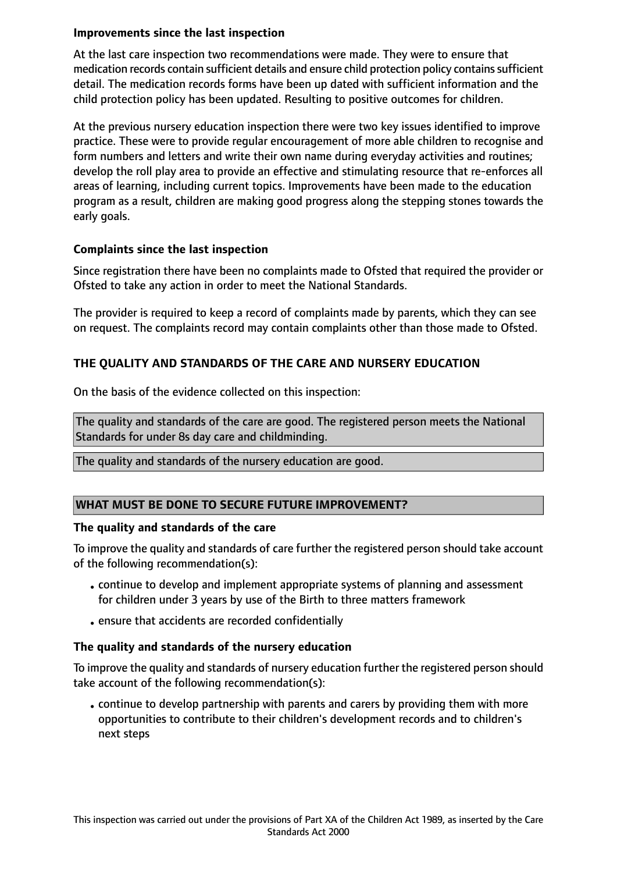#### **Improvements since the last inspection**

At the last care inspection two recommendations were made. They were to ensure that medication records contain sufficient details and ensure child protection policy contains sufficient detail. The medication records forms have been up dated with sufficient information and the child protection policy has been updated. Resulting to positive outcomes for children.

At the previous nursery education inspection there were two key issues identified to improve practice. These were to provide regular encouragement of more able children to recognise and form numbers and letters and write their own name during everyday activities and routines; develop the roll play area to provide an effective and stimulating resource that re-enforces all areas of learning, including current topics. Improvements have been made to the education program as a result, children are making good progress along the stepping stones towards the early goals.

#### **Complaints since the last inspection**

Since registration there have been no complaints made to Ofsted that required the provider or Ofsted to take any action in order to meet the National Standards.

The provider is required to keep a record of complaints made by parents, which they can see on request. The complaints record may contain complaints other than those made to Ofsted.

# **THE QUALITY AND STANDARDS OF THE CARE AND NURSERY EDUCATION**

On the basis of the evidence collected on this inspection:

The quality and standards of the care are good. The registered person meets the National Standards for under 8s day care and childminding.

The quality and standards of the nursery education are good.

#### **WHAT MUST BE DONE TO SECURE FUTURE IMPROVEMENT?**

#### **The quality and standards of the care**

To improve the quality and standards of care further the registered person should take account of the following recommendation(s):

- •continue to develop and implement appropriate systems of planning and assessment for children under 3 years by use of the Birth to three matters framework
- •ensure that accidents are recorded confidentially

#### **The quality and standards of the nursery education**

To improve the quality and standards of nursery education further the registered person should take account of the following recommendation(s):

•continue to develop partnership with parents and carers by providing them with more opportunities to contribute to their children's development records and to children's next steps